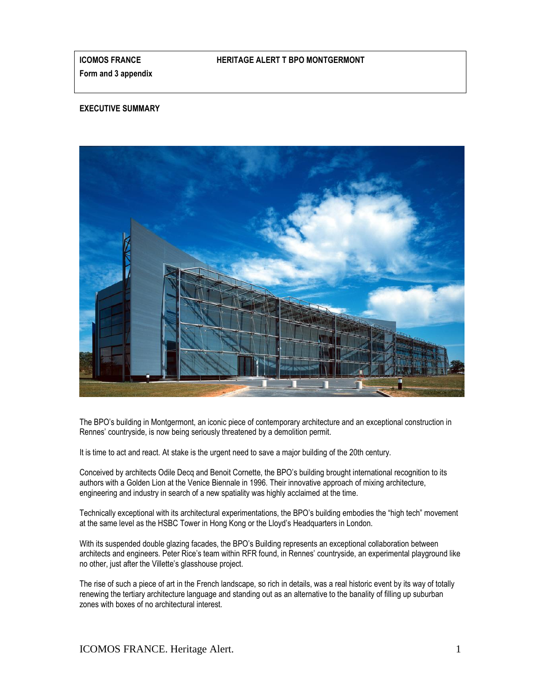**Form and 3 appendix** 

# **ICOMOS FRANCE HERITAGE ALERT T BPO MONTGERMONT**

### **EXECUTIVE SUMMARY**



The BPO's building in Montgermont, an iconic piece of contemporary architecture and an exceptional construction in Rennes' countryside, is now being seriously threatened by a demolition permit.

It is time to act and react. At stake is the urgent need to save a major building of the 20th century.

Conceived by architects Odile Decq and Benoit Cornette, the BPO's building brought international recognition to its authors with a Golden Lion at the Venice Biennale in 1996. Their innovative approach of mixing architecture, engineering and industry in search of a new spatiality was highly acclaimed at the time.

Technically exceptional with its architectural experimentations, the BPO's building embodies the "high tech" movement at the same level as the HSBC Tower in Hong Kong or the Lloyd's Headquarters in London.

With its suspended double glazing facades, the BPO's Building represents an exceptional collaboration between architects and engineers. Peter Rice's team within RFR found, in Rennes' countryside, an experimental playground like no other, just after the Villette's glasshouse project.

The rise of such a piece of art in the French landscape, so rich in details, was a real historic event by its way of totally renewing the tertiary architecture language and standing out as an alternative to the banality of filling up suburban zones with boxes of no architectural interest.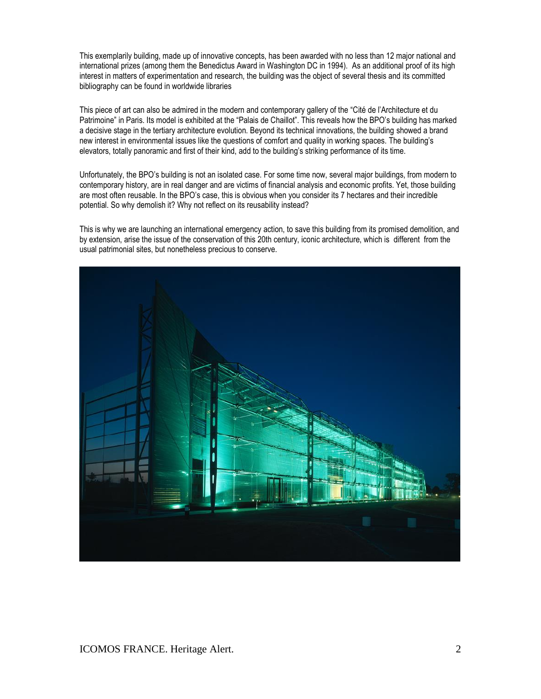This exemplarily building, made up of innovative concepts, has been awarded with no less than 12 major national and international prizes (among them the Benedictus Award in Washington DC in 1994). As an additional proof of its high interest in matters of experimentation and research, the building was the object of several thesis and its committed bibliography can be found in worldwide libraries

This piece of art can also be admired in the modern and contemporary gallery of the "Cité de l'Architecture et du Patrimoine" in Paris. Its model is exhibited at the "Palais de Chaillot". This reveals how the BPO's building has marked a decisive stage in the tertiary architecture evolution. Beyond its technical innovations, the building showed a brand new interest in environmental issues like the questions of comfort and quality in working spaces. The building's elevators, totally panoramic and first of their kind, add to the building's striking performance of its time.

Unfortunately, the BPO's building is not an isolated case. For some time now, several major buildings, from modern to contemporary history, are in real danger and are victims of financial analysis and economic profits. Yet, those building are most often reusable. In the BPO's case, this is obvious when you consider its 7 hectares and their incredible potential. So why demolish it? Why not reflect on its reusability instead?

This is why we are launching an international emergency action, to save this building from its promised demolition, and by extension, arise the issue of the conservation of this 20th century, iconic architecture, which is different from the usual patrimonial sites, but nonetheless precious to conserve.

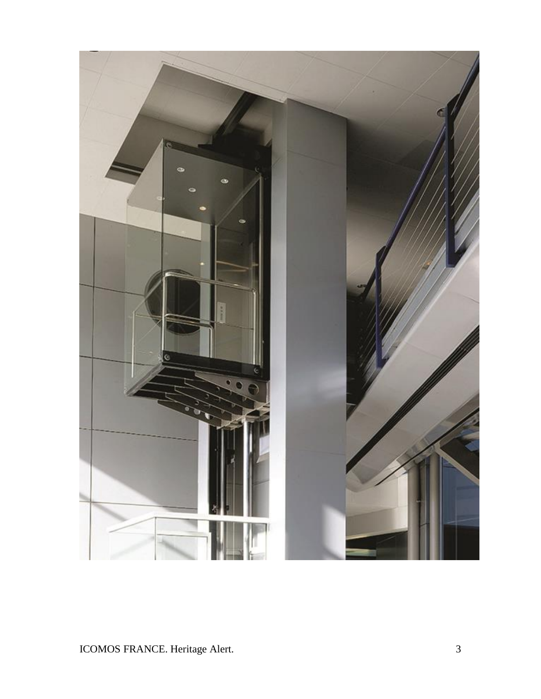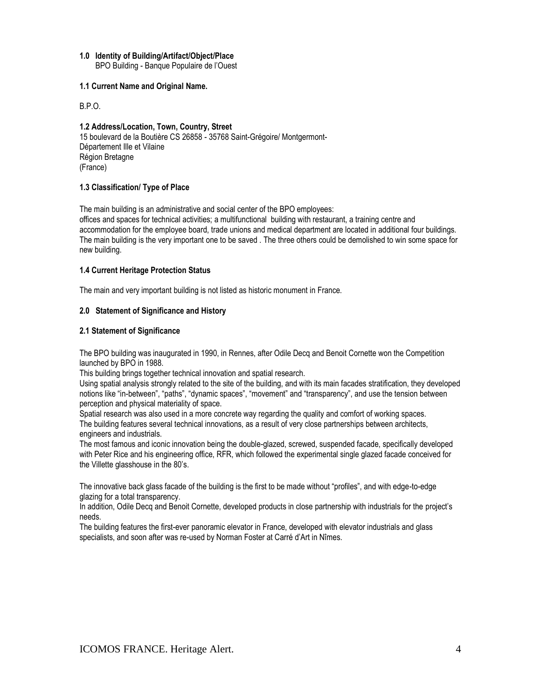#### **1.0 Identity of Building/Artifact/Object/Place** BPO Building - Banque Populaire de l'Ouest

#### **1.1 Current Name and Original Name.**

B.P.O.

#### **1.2 Address/Location, Town, Country, Street**

15 boulevard de la Boutière CS 26858 - 35768 Saint-Grégoire/ Montgermont-Département Ille et Vilaine Région Bretagne (France)

### **1.3 Classification/ Type of Place**

The main building is an administrative and social center of the BPO employees:

offices and spaces for technical activities; a multifunctional building with restaurant, a training centre and accommodation for the employee board, trade unions and medical department are located in additional four buildings. The main building is the very important one to be saved . The three others could be demolished to win some space for new building.

#### **1.4 Current Heritage Protection Status**

The main and very important building is not listed as historic monument in France.

### **2.0 Statement of Significance and History**

#### **2.1 Statement of Significance**

The BPO building was inaugurated in 1990, in Rennes, after Odile Decq and Benoit Cornette won the Competition launched by BPO in 1988.

This building brings together technical innovation and spatial research.

Using spatial analysis strongly related to the site of the building, and with its main facades stratification, they developed notions like "in-between", "paths", "dynamic spaces", "movement" and "transparency", and use the tension between perception and physical materiality of space.

Spatial research was also used in a more concrete way regarding the quality and comfort of working spaces. The building features several technical innovations, as a result of very close partnerships between architects, engineers and industrials.

The most famous and iconic innovation being the double-glazed, screwed, suspended facade, specifically developed with Peter Rice and his engineering office, RFR, which followed the experimental single glazed facade conceived for the Villette glasshouse in the 80's.

The innovative back glass facade of the building is the first to be made without "profiles", and with edge-to-edge glazing for a total transparency.

In addition, Odile Decq and Benoit Cornette, developed products in close partnership with industrials for the project's needs.

The building features the first-ever panoramic elevator in France, developed with elevator industrials and glass specialists, and soon after was re-used by Norman Foster at Carré d'Art in Nîmes.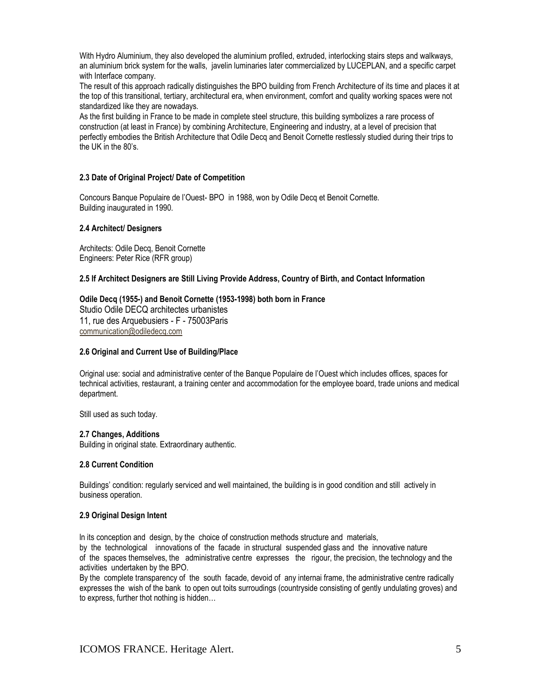With Hydro Aluminium, they also developed the aluminium profiled, extruded, interlocking stairs steps and walkways, an aluminium brick system for the walls, javelin luminaries later commercialized by LUCEPLAN, and a specific carpet with Interface company.

The result of this approach radically distinguishes the BPO building from French Architecture of its time and places it at the top of this transitional, tertiary, architectural era, when environment, comfort and quality working spaces were not standardized like they are nowadays.

As the first building in France to be made in complete steel structure, this building symbolizes a rare process of construction (at least in France) by combining Architecture, Engineering and industry, at a level of precision that perfectly embodies the British Architecture that Odile Decq and Benoit Cornette restlessly studied during their trips to the UK in the 80's.

## **2.3 Date of Original Project/ Date of Competition**

Concours Banque Populaire de l'Ouest- BPO in 1988, won by Odile Decq et Benoit Cornette. Building inaugurated in 1990.

### **2.4 Architect/ Designers**

Architects: Odile Decq, Benoit Cornette Engineers: Peter Rice (RFR group)

### **2.5 If Architect Designers are Still Living Provide Address, Country of Birth, and Contact Information**

## **Odile Decq (1955-) and Benoit Cornette (1953-1998) both born in France**

Studio Odile DECQ architectes urbanistes 11, rue des Arquebusiers - F - 75003Paris [communication@odiledecq.com](mailto:communication@odiledecq.com)

### **2.6 Original and Current Use of Building/Place**

Original use: social and administrative center of the Banque Populaire de l'Ouest which includes offices, spaces for technical activities, restaurant, a training center and accommodation for the employee board, trade unions and medical department.

Still used as such today.

### **2.7 Changes, Additions**

Building in original state. Extraordinary authentic.

### **2.8 Current Condition**

Buildings' condition: regularly serviced and well maintained, the building is in good condition and still actively in business operation.

### **2.9 Original Design Intent**

ln its conception and design, by the choice of construction methods structure and materials,

by the technological innovations of the facade in structural suspended glass and the innovative nature of the spaces themselves, the administrative centre expresses the rigour, the precision, the technology and the activities undertaken by the BPO.

By the complete transparency of the south facade, devoid of any internai frame, the administrative centre radically expresses the wish of the bank to open out toits surroudings (countryside consisting of gently undulating groves) and to express, further thot nothing is hidden…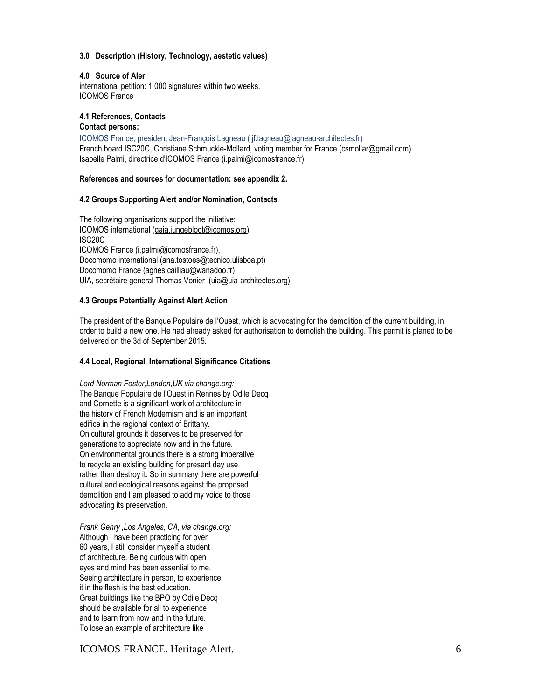### **3.0 Description (History, Technology, aestetic values)**

#### **4.0 Source of Aler**

international petition: 1 000 signatures within two weeks. ICOMOS France

## **4.1 References, Contacts**

**Contact persons:** ICOMOS France, president Jean-François Lagneau ( jf.lagneau@lagneau-architectes.fr) French board ISC20C, Christiane Schmuckle-Mollard, voting member for France (csmollar@gmail.com) Isabelle Palmi, directrice d'ICOMOS France (i.palmi@icomosfrance.fr)

## **References and sources for documentation: see appendix 2.**

## **4.2 Groups Supporting Alert and/or Nomination, Contacts**

The following organisations support the initiative: ICOMOS international [\(gaia.jungeblodt@icomos.org\)](mailto:gaia.jungeblodt@icomos.org) ISC20C ICOMOS France [\(i.palmi@icomosfrance.fr\)](mailto:i.palmi@icomosfrance.fr), Docomomo international (ana.tostoes@tecnico.ulisboa.pt) Docomomo France (agnes.cailliau@wanadoo.fr) UIA, secrétaire general Thomas Vonier (uia@uia-architectes.org)

## **4.3 Groups Potentially Against Alert Action**

The president of the Banque Populaire de l'Ouest, which is advocating for the demolition of the current building, in order to build a new one. He had already asked for authorisation to demolish the building. This permit is planed to be delivered on the 3d of September 2015.

### **4.4 Local, Regional, International Significance Citations**

*Lord Norman Foster,London,UK via change.org:* The Banque Populaire de l'Ouest in Rennes by Odile Decq and Cornette is a significant work of architecture in the history of French Modernism and is an important edifice in the regional context of Brittany. On cultural grounds it deserves to be preserved for generations to appreciate now and in the future. On environmental grounds there is a strong imperative to recycle an existing building for present day use rather than destroy it. So in summary there are powerful cultural and ecological reasons against the proposed demolition and I am pleased to add my voice to those advocating its preservation.

*Frank Gehry ,Los Angeles, CA, via change.org:* Although I have been practicing for over 60 years, I still consider myself a student of architecture. Being curious with open eyes and mind has been essential to me. Seeing architecture in person, to experience it in the flesh is the best education. Great buildings like the BPO by Odile Decq should be available for all to experience and to learn from now and in the future. To lose an example of architecture like

# ICOMOS FRANCE. Heritage Alert. 6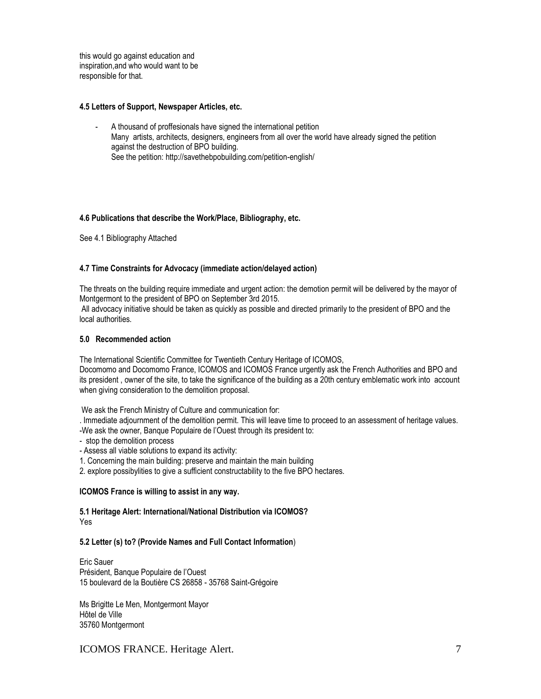this would go against education and inspiration,and who would want to be responsible for that.

#### **4.5 Letters of Support, Newspaper Articles, etc.**

A thousand of proffesionals have signed the international petition Many artists, architects, designers, engineers from all over the world have already signed the petition against the destruction of BPO building. See the petition: http://savethebpobuilding.com/petition-english/

#### **4.6 Publications that describe the Work/Place, Bibliography, etc.**

See 4.1 Bibliography Attached

#### **4.7 Time Constraints for Advocacy (immediate action/delayed action)**

The threats on the building require immediate and urgent action: the demotion permit will be delivered by the mayor of Montgermont to the president of BPO on September 3rd 2015.

All advocacy initiative should be taken as quickly as possible and directed primarily to the president of BPO and the local authorities.

#### **5.0 Recommended action**

The International Scientific Committee for Twentieth Century Heritage of ICOMOS, Docomomo and Docomomo France, ICOMOS and ICOMOS France urgently ask the French Authorities and BPO and its president , owner of the site, to take the significance of the building as a 20th century emblematic work into account when giving consideration to the demolition proposal.

We ask the French Ministry of Culture and communication for:

. Immediate adjournment of the demolition permit. This will leave time to proceed to an assessment of heritage values. -We ask the owner, Banque Populaire de l'Ouest through its president to:

- stop the demolition process
- Assess all viable solutions to expand its activity:
- 1. Concerning the main building: preserve and maintain the main building
- 2. explore possibylities to give a sufficient constructability to the five BPO hectares.

#### **ICOMOS France is willing to assist in any way.**

#### **5.1 Heritage Alert: International/National Distribution via ICOMOS?** Yes

### **5.2 Letter (s) to? (Provide Names and Full Contact Information**)

Eric Sauer Président, Banque Populaire de l'Ouest 15 boulevard de la Boutière CS 26858 - 35768 Saint-Grégoire

Ms Brigitte Le Men, Montgermont Mayor Hôtel de Ville 35760 Montgermont

ICOMOS FRANCE. Heritage Alert. 7